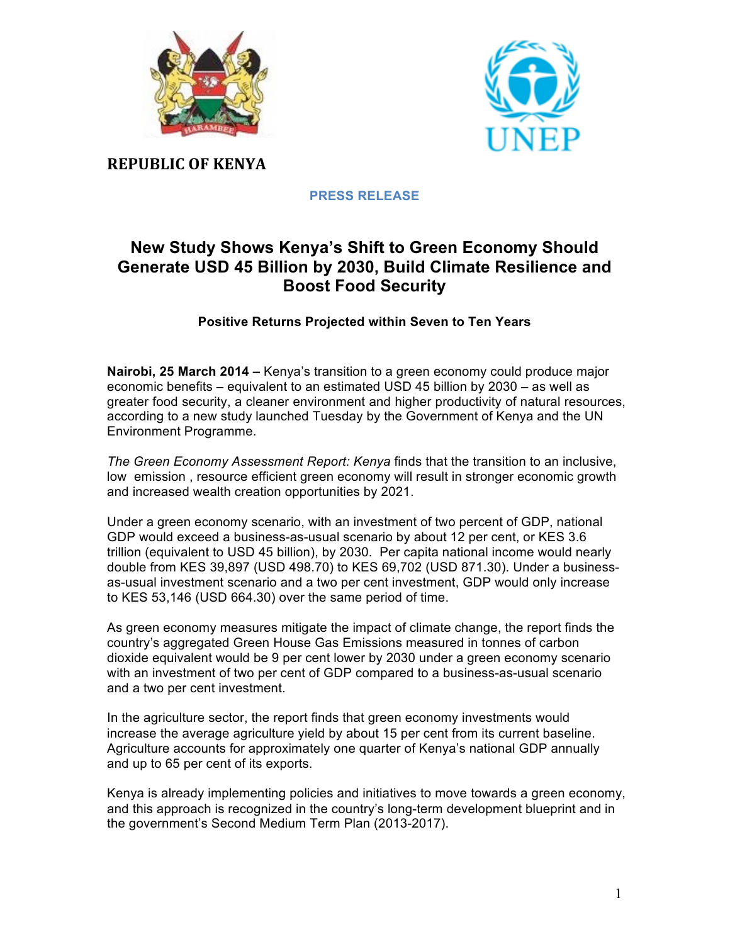



**REPUBLIC OF KENYA**

**PRESS RELEASE**

# **New Study Shows Kenya's Shift to Green Economy Should Generate USD 45 Billion by 2030, Build Climate Resilience and Boost Food Security**

# **Positive Returns Projected within Seven to Ten Years**

**Nairobi, 25 March 2014 –** Kenya's transition to a green economy could produce major economic benefits – equivalent to an estimated USD 45 billion by 2030 – as well as greater food security, a cleaner environment and higher productivity of natural resources, according to a new study launched Tuesday by the Government of Kenya and the UN Environment Programme.

*The Green Economy Assessment Report: Kenya* finds that the transition to an inclusive, low emission , resource efficient green economy will result in stronger economic growth and increased wealth creation opportunities by 2021.

Under a green economy scenario, with an investment of two percent of GDP, national GDP would exceed a business-as-usual scenario by about 12 per cent, or KES 3.6 trillion (equivalent to USD 45 billion), by 2030. Per capita national income would nearly double from KES 39,897 (USD 498.70) to KES 69,702 (USD 871.30). Under a businessas-usual investment scenario and a two per cent investment, GDP would only increase to KES 53,146 (USD 664.30) over the same period of time.

As green economy measures mitigate the impact of climate change, the report finds the country's aggregated Green House Gas Emissions measured in tonnes of carbon dioxide equivalent would be 9 per cent lower by 2030 under a green economy scenario with an investment of two per cent of GDP compared to a business-as-usual scenario and a two per cent investment.

In the agriculture sector, the report finds that green economy investments would increase the average agriculture yield by about 15 per cent from its current baseline. Agriculture accounts for approximately one quarter of Kenya's national GDP annually and up to 65 per cent of its exports.

Kenya is already implementing policies and initiatives to move towards a green economy, and this approach is recognized in the country's long-term development blueprint and in the government's Second Medium Term Plan (2013-2017).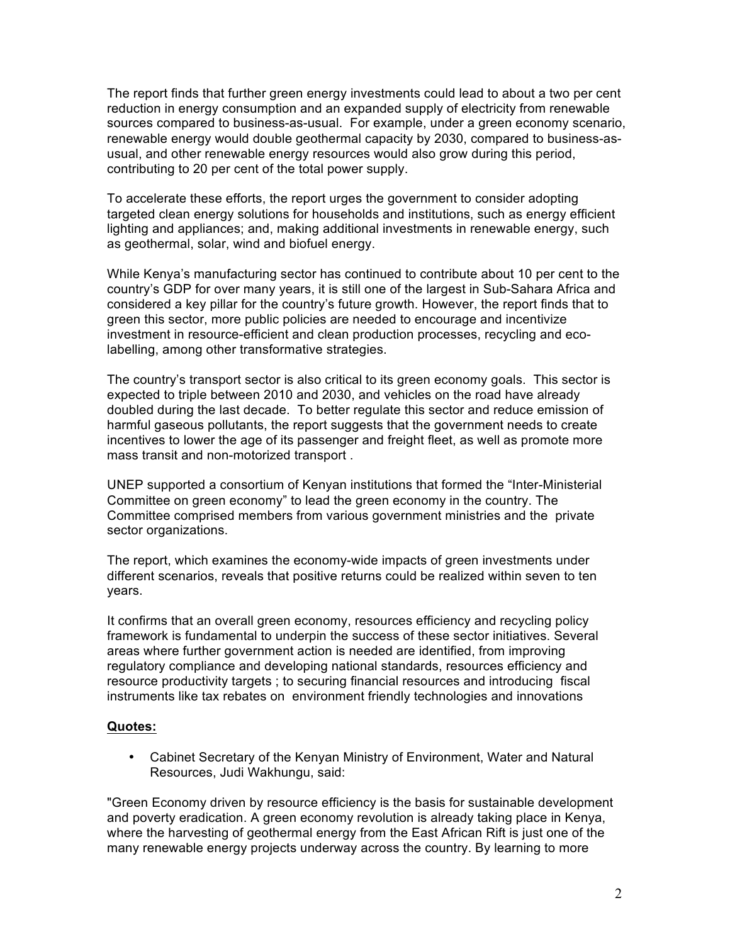The report finds that further green energy investments could lead to about a two per cent reduction in energy consumption and an expanded supply of electricity from renewable sources compared to business-as-usual. For example, under a green economy scenario, renewable energy would double geothermal capacity by 2030, compared to business-asusual, and other renewable energy resources would also grow during this period, contributing to 20 per cent of the total power supply.

To accelerate these efforts, the report urges the government to consider adopting targeted clean energy solutions for households and institutions, such as energy efficient lighting and appliances; and, making additional investments in renewable energy, such as geothermal, solar, wind and biofuel energy.

While Kenya's manufacturing sector has continued to contribute about 10 per cent to the country's GDP for over many years, it is still one of the largest in Sub-Sahara Africa and considered a key pillar for the country's future growth. However, the report finds that to green this sector, more public policies are needed to encourage and incentivize investment in resource-efficient and clean production processes, recycling and ecolabelling, among other transformative strategies.

The country's transport sector is also critical to its green economy goals. This sector is expected to triple between 2010 and 2030, and vehicles on the road have already doubled during the last decade. To better regulate this sector and reduce emission of harmful gaseous pollutants, the report suggests that the government needs to create incentives to lower the age of its passenger and freight fleet, as well as promote more mass transit and non-motorized transport .

UNEP supported a consortium of Kenyan institutions that formed the "Inter-Ministerial Committee on green economy" to lead the green economy in the country. The Committee comprised members from various government ministries and the private sector organizations.

The report, which examines the economy-wide impacts of green investments under different scenarios, reveals that positive returns could be realized within seven to ten years.

It confirms that an overall green economy, resources efficiency and recycling policy framework is fundamental to underpin the success of these sector initiatives. Several areas where further government action is needed are identified, from improving regulatory compliance and developing national standards, resources efficiency and resource productivity targets ; to securing financial resources and introducing fiscal instruments like tax rebates on environment friendly technologies and innovations

## **Quotes:**

• Cabinet Secretary of the Kenyan Ministry of Environment, Water and Natural Resources, Judi Wakhungu, said:

"Green Economy driven by resource efficiency is the basis for sustainable development and poverty eradication. A green economy revolution is already taking place in Kenya, where the harvesting of geothermal energy from the East African Rift is just one of the many renewable energy projects underway across the country. By learning to more